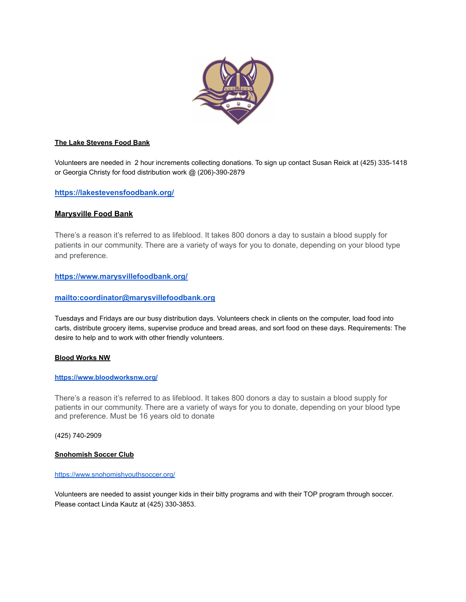

### **The Lake Stevens Food Bank**

Volunteers are needed in 2 hour increments collecting donations. To sign up contact Susan Reick at (425) 335-1418 or Georgia Christy for food distribution work @ (206)-390-2879

## **<https://lakestevensfoodbank.org/>**

## **Marysville Food Bank**

There's a reason it's referred to as lifeblood. It takes 800 donors a day to sustain a blood supply for patients in our community. There are a variety of ways for you to donate, depending on your blood type and preference.

## **<https://www.marysvillefoodbank.org/>**

## **<mailto:coordinator@marysvillefoodbank.org>**

Tuesdays and Fridays are our busy distribution days. Volunteers check in clients on the computer, load food into carts, distribute grocery items, supervise produce and bread areas, and sort food on these days. Requirements: The desire to help and to work with other friendly volunteers.

### **Blood Works NW**

#### **<https://www.bloodworksnw.org/>**

There's a reason it's referred to as lifeblood. It takes 800 donors a day to sustain a blood supply for patients in our community. There are a variety of ways for you to donate, depending on your blood type and preference. Must be 16 years old to donate

(425) 740-2909

### **Snohomish Soccer Club**

#### <https://www.snohomishyouthsoccer.org/>

Volunteers are needed to assist younger kids in their bitty programs and with their TOP program through soccer. Please contact Linda Kautz at (425) 330-3853.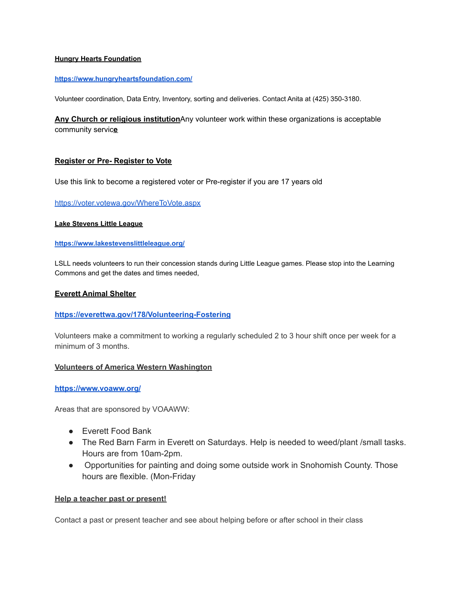## **Hungry Hearts Foundation**

### **<https://www.hungryheartsfoundation.com/>**

Volunteer coordination, Data Entry, Inventory, sorting and deliveries. Contact Anita at (425) 350-3180.

**Any Church or religious institution**Any volunteer work within these organizations is acceptable community servic**e**

## **Register or Pre- Register to Vote**

Use this link to become a registered voter or Pre-register if you are 17 years old

### <https://voter.votewa.gov/WhereToVote.aspx>

#### **Lake Stevens Little League**

#### **<https://www.lakestevenslittleleague.org/>**

LSLL needs volunteers to run their concession stands during Little League games. Please stop into the Learning Commons and get the dates and times needed,

### **Everett Animal Shelter**

### **<https://everettwa.gov/178/Volunteering-Fostering>**

Volunteers make a commitment to working a regularly scheduled 2 to 3 hour shift once per week for a minimum of 3 months.

### **Volunteers of America Western Washington**

## **<https://www.voaww.org/>**

Areas that are sponsored by VOAAWW:

- Everett Food Bank
- The Red Barn Farm in Everett on Saturdays. Help is needed to weed/plant /small tasks. Hours are from 10am-2pm.
- Opportunities for painting and doing some outside work in Snohomish County. Those hours are flexible. (Mon-Friday

### **Help a teacher past or present!**

Contact a past or present teacher and see about helping before or after school in their class